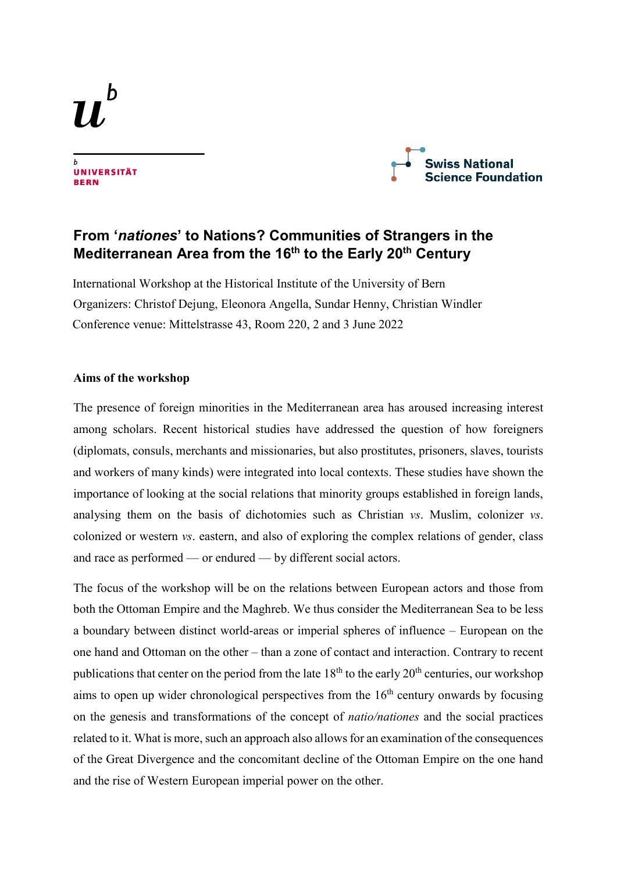h





# **From '***nationes***' to Nations? Communities of Strangers in the Mediterranean Area from the 16th to the Early 20th Century**

International Workshop at the Historical Institute of the University of Bern Organizers: Christof Dejung, Eleonora Angella, Sundar Henny, Christian Windler Conference venue: Mittelstrasse 43, Room 220, 2 and 3 June 2022

# **Aims of the workshop**

The presence of foreign minorities in the Mediterranean area has aroused increasing interest among scholars. Recent historical studies have addressed the question of how foreigners (diplomats, consuls, merchants and missionaries, but also prostitutes, prisoners, slaves, tourists and workers of many kinds) were integrated into local contexts. These studies have shown the importance of looking at the social relations that minority groups established in foreign lands, analysing them on the basis of dichotomies such as Christian *vs*. Muslim, colonizer *vs*. colonized or western *vs*. eastern, and also of exploring the complex relations of gender, class and race as performed — or endured — by different social actors.

The focus of the workshop will be on the relations between European actors and those from both the Ottoman Empire and the Maghreb. We thus consider the Mediterranean Sea to be less a boundary between distinct world-areas or imperial spheres of influence – European on the one hand and Ottoman on the other – than a zone of contact and interaction. Contrary to recent publications that center on the period from the late  $18<sup>th</sup>$  to the early  $20<sup>th</sup>$  centuries, our workshop aims to open up wider chronological perspectives from the  $16<sup>th</sup>$  century onwards by focusing on the genesis and transformations of the concept of *natio/nationes* and the social practices related to it. What is more, such an approach also allows for an examination of the consequences of the Great Divergence and the concomitant decline of the Ottoman Empire on the one hand and the rise of Western European imperial power on the other.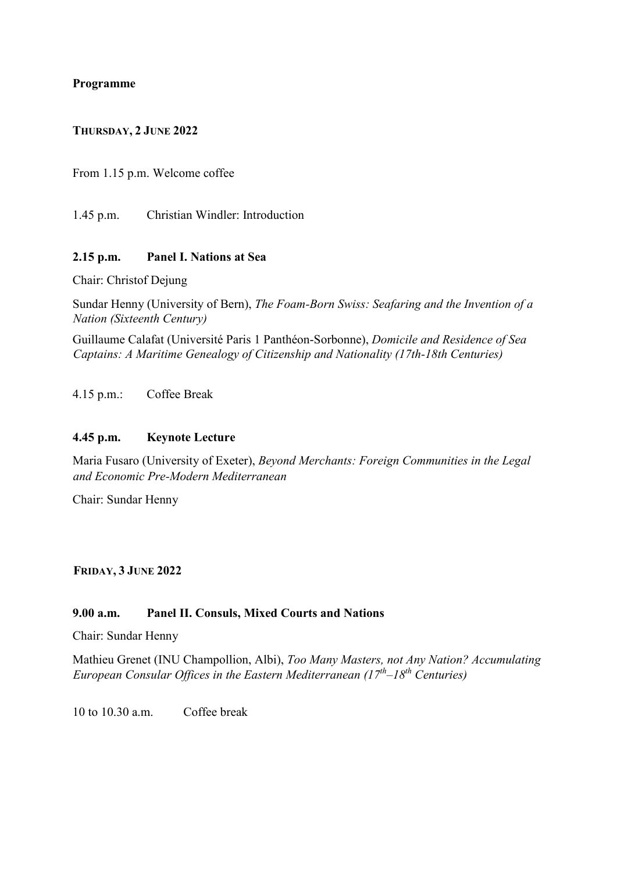# **Programme**

### **THURSDAY, 2 JUNE 2022**

From 1.15 p.m. Welcome coffee

1.45 p.m. Christian Windler: Introduction

# **2.15 p.m. Panel I. Nations at Sea**

Chair: Christof Dejung

Sundar Henny (University of Bern), *The Foam-Born Swiss: Seafaring and the Invention of a Nation (Sixteenth Century)*

Guillaume Calafat (Université Paris 1 Panthéon-Sorbonne), *Domicile and Residence of Sea Captains: A Maritime Genealogy of Citizenship and Nationality (17th-18th Centuries)*

4.15 p.m.: Coffee Break

#### **4.45 p.m. Keynote Lecture**

Maria Fusaro (University of Exeter), *Beyond Merchants: Foreign Communities in the Legal and Economic Pre-Modern Mediterranean*

Chair: Sundar Henny

**FRIDAY, 3 JUNE 2022**

#### **9.00 a.m. Panel II. Consuls, Mixed Courts and Nations**

Chair: Sundar Henny

Mathieu Grenet (INU Champollion, Albi), *Too Many Masters, not Any Nation? Accumulating European Consular Offices in the Eastern Mediterranean (17th–18th Centuries)*

10 to 10.30 a.m. Coffee break